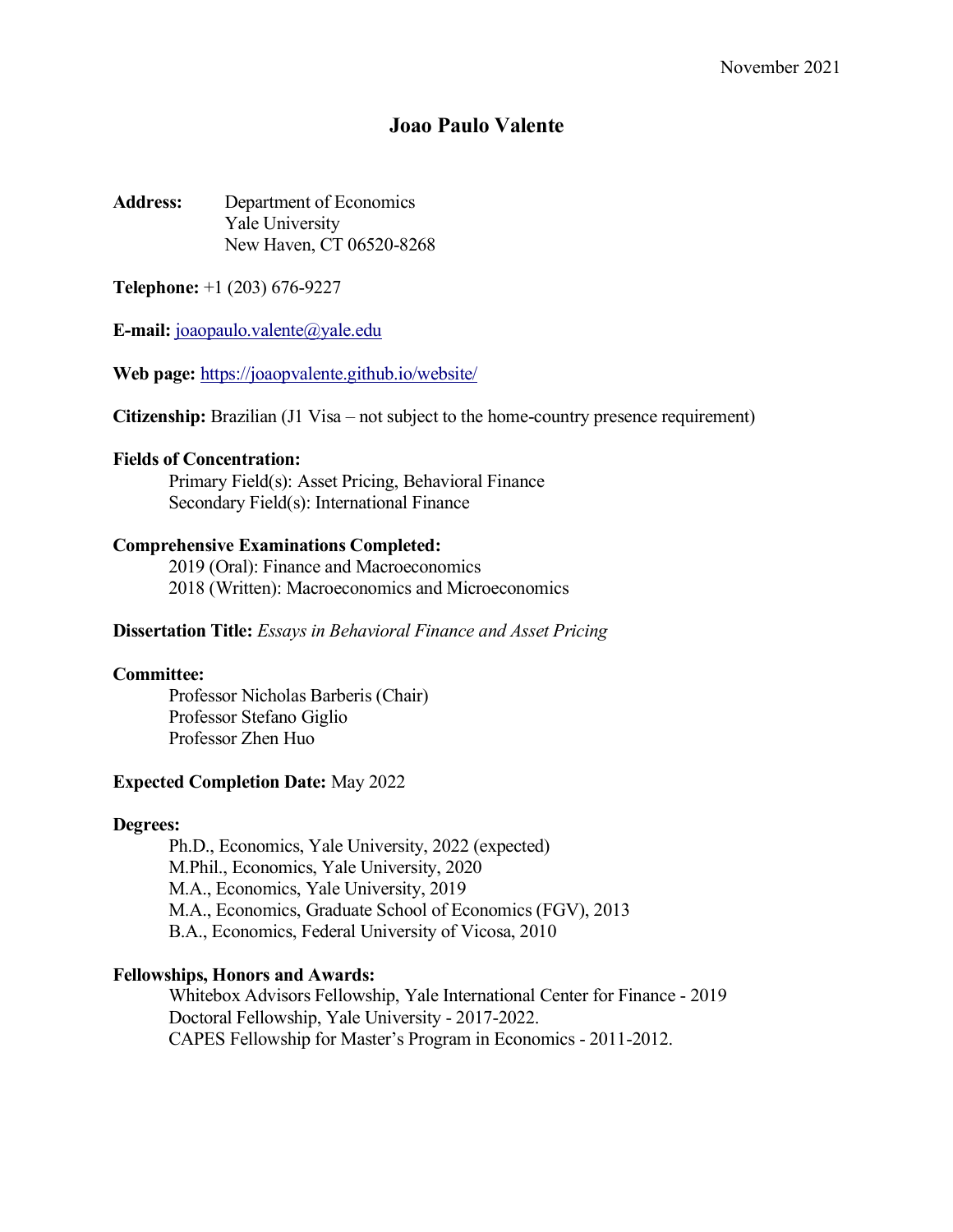# **Joao Paulo Valente**

**Address:** Department of Economics Yale University New Haven, CT 06520-8268

**Telephone:** +1 (203) 676-9227

**E-mail:** joaopaulo.valente@yale.edu

**Web page:** https://joaopvalente.github.io/website/

**Citizenship:** Brazilian (J1 Visa – not subject to the home-country presence requirement)

# **Fields of Concentration:**

Primary Field(s): Asset Pricing, Behavioral Finance Secondary Field(s): International Finance

# **Comprehensive Examinations Completed:**

2019 (Oral): Finance and Macroeconomics 2018 (Written): Macroeconomics and Microeconomics

## **Dissertation Title:** *Essays in Behavioral Finance and Asset Pricing*

## **Committee:**

Professor Nicholas Barberis (Chair) Professor Stefano Giglio Professor Zhen Huo

## **Expected Completion Date:** May 2022

## **Degrees:**

Ph.D., Economics, Yale University, 2022 (expected) M.Phil., Economics, Yale University, 2020 M.A., Economics, Yale University, 2019 M.A., Economics, Graduate School of Economics (FGV), 2013 B.A., Economics, Federal University of Vicosa, 2010

# **Fellowships, Honors and Awards:**

Whitebox Advisors Fellowship, Yale International Center for Finance - 2019 Doctoral Fellowship, Yale University - 2017-2022. CAPES Fellowship for Master's Program in Economics - 2011-2012.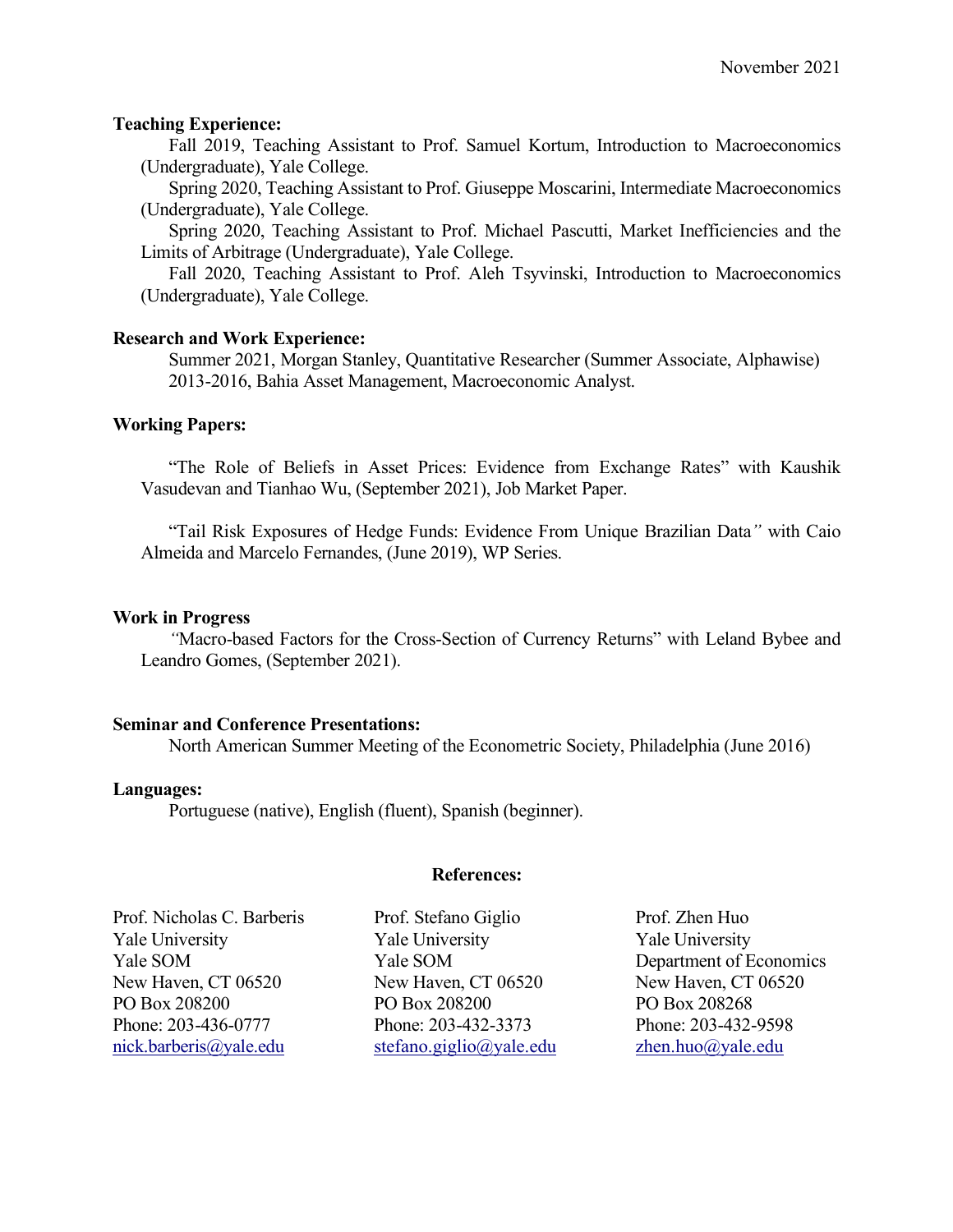# **Teaching Experience:**

Fall 2019, Teaching Assistant to Prof. Samuel Kortum, Introduction to Macroeconomics (Undergraduate), Yale College.

Spring 2020, Teaching Assistant to Prof. Giuseppe Moscarini, Intermediate Macroeconomics (Undergraduate), Yale College.

Spring 2020, Teaching Assistant to Prof. Michael Pascutti, Market Inefficiencies and the Limits of Arbitrage (Undergraduate), Yale College.

Fall 2020, Teaching Assistant to Prof. Aleh Tsyvinski, Introduction to Macroeconomics (Undergraduate), Yale College.

# **Research and Work Experience:**

Summer 2021, Morgan Stanley, Quantitative Researcher (Summer Associate, Alphawise) 2013-2016, Bahia Asset Management, Macroeconomic Analyst.

# **Working Papers:**

"The Role of Beliefs in Asset Prices: Evidence from Exchange Rates" with Kaushik Vasudevan and Tianhao Wu, (September 2021), Job Market Paper.

"Tail Risk Exposures of Hedge Funds: Evidence From Unique Brazilian Data*"* with Caio Almeida and Marcelo Fernandes, (June 2019), WP Series.

## **Work in Progress**

*"*Macro-based Factors for the Cross-Section of Currency Returns" with Leland Bybee and Leandro Gomes, (September 2021).

## **Seminar and Conference Presentations:**

North American Summer Meeting of the Econometric Society, Philadelphia (June 2016)

## **Languages:**

Portuguese (native), English (fluent), Spanish (beginner).

## **References:**

| Yale University<br><b>Yale University</b><br>Yale University<br>Yale SOM<br>Yale SOM<br>New Haven, CT 06520<br>New Haven, CT 06520<br>New Haven, CT 06520<br>PO Box 208200<br>PO Box 208200<br>PO Box 208268<br>Phone: 203-436-0777<br>Phone: 203-432-3373<br>Phone: 203-432-9598<br>nick.barberis@yale.edu<br>stefano.giglio@yale.edu<br>zhen.huo@yale.edu | Prof. Nicholas C. Barberis | Prof. Stefano Giglio | Prof. Zhen Huo          |
|-------------------------------------------------------------------------------------------------------------------------------------------------------------------------------------------------------------------------------------------------------------------------------------------------------------------------------------------------------------|----------------------------|----------------------|-------------------------|
|                                                                                                                                                                                                                                                                                                                                                             |                            |                      |                         |
|                                                                                                                                                                                                                                                                                                                                                             |                            |                      | Department of Economics |
|                                                                                                                                                                                                                                                                                                                                                             |                            |                      |                         |
|                                                                                                                                                                                                                                                                                                                                                             |                            |                      |                         |
|                                                                                                                                                                                                                                                                                                                                                             |                            |                      |                         |
|                                                                                                                                                                                                                                                                                                                                                             |                            |                      |                         |